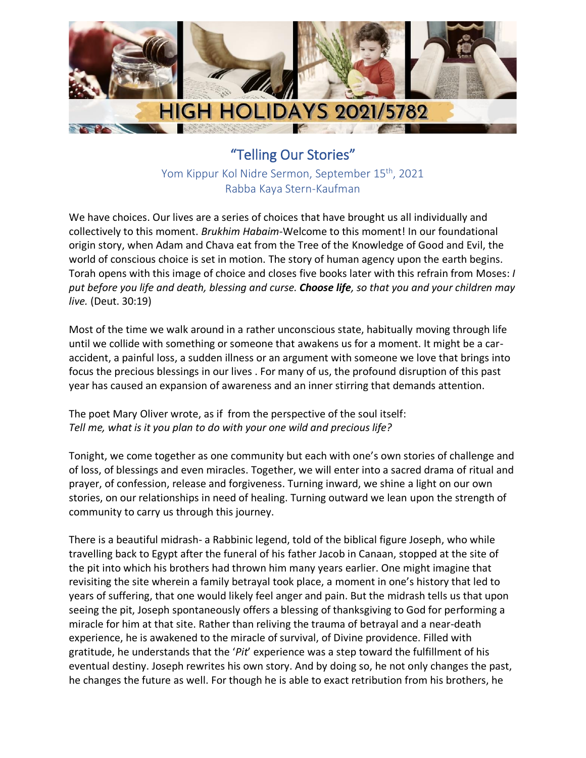

"Telling Our Stories" Yom Kippur Kol Nidre Sermon, September 15<sup>th</sup>, 2021 Rabba Kaya Stern-Kaufman

We have choices. Our lives are a series of choices that have brought us all individually and collectively to this moment. *Brukhim Habaim*-Welcome to this moment! In our foundational origin story, when Adam and Chava eat from the Tree of the Knowledge of Good and Evil, the world of conscious choice is set in motion. The story of human agency upon the earth begins. Torah opens with this image of choice and closes five books later with this refrain from Moses: *I put before you life and death, blessing and curse. Choose life, so that you and your children may live.* (Deut. 30:19)

Most of the time we walk around in a rather unconscious state, habitually moving through life until we collide with something or someone that awakens us for a moment. It might be a caraccident, a painful loss, a sudden illness or an argument with someone we love that brings into focus the precious blessings in our lives . For many of us, the profound disruption of this past year has caused an expansion of awareness and an inner stirring that demands attention.

The poet Mary Oliver wrote, as if from the perspective of the soul itself: *Tell me, what is it you plan to do with your one wild and precious life?*

Tonight, we come together as one community but each with one's own stories of challenge and of loss, of blessings and even miracles. Together, we will enter into a sacred drama of ritual and prayer, of confession, release and forgiveness. Turning inward, we shine a light on our own stories, on our relationships in need of healing. Turning outward we lean upon the strength of community to carry us through this journey.

There is a beautiful midrash- a Rabbinic legend, told of the biblical figure Joseph, who while travelling back to Egypt after the funeral of his father Jacob in Canaan, stopped at the site of the pit into which his brothers had thrown him many years earlier. One might imagine that revisiting the site wherein a family betrayal took place, a moment in one's history that led to years of suffering, that one would likely feel anger and pain. But the midrash tells us that upon seeing the pit, Joseph spontaneously offers a blessing of thanksgiving to God for performing a miracle for him at that site. Rather than reliving the trauma of betrayal and a near-death experience, he is awakened to the miracle of survival, of Divine providence. Filled with gratitude, he understands that the '*Pit*' experience was a step toward the fulfillment of his eventual destiny. Joseph rewrites his own story. And by doing so, he not only changes the past, he changes the future as well. For though he is able to exact retribution from his brothers, he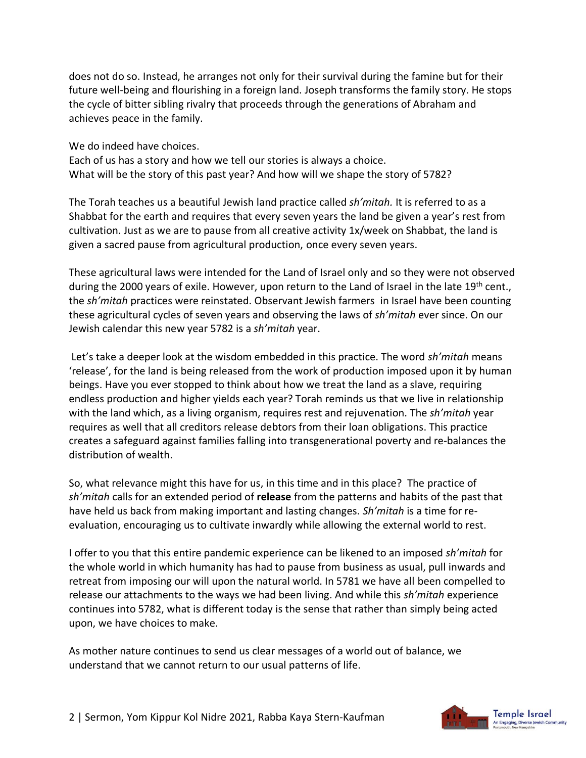does not do so. Instead, he arranges not only for their survival during the famine but for their future well-being and flourishing in a foreign land. Joseph transforms the family story. He stops the cycle of bitter sibling rivalry that proceeds through the generations of Abraham and achieves peace in the family.

We do indeed have choices.

Each of us has a story and how we tell our stories is always a choice. What will be the story of this past year? And how will we shape the story of 5782?

The Torah teaches us a beautiful Jewish land practice called *sh'mitah.* It is referred to as a Shabbat for the earth and requires that every seven years the land be given a year's rest from cultivation. Just as we are to pause from all creative activity 1x/week on Shabbat, the land is given a sacred pause from agricultural production, once every seven years.

These agricultural laws were intended for the Land of Israel only and so they were not observed during the 2000 years of exile. However, upon return to the Land of Israel in the late 19<sup>th</sup> cent., the *sh'mitah* practices were reinstated. Observant Jewish farmers in Israel have been counting these agricultural cycles of seven years and observing the laws of *sh'mitah* ever since. On our Jewish calendar this new year 5782 is a *sh'mitah* year.

Let's take a deeper look at the wisdom embedded in this practice. The word *sh'mitah* means 'release', for the land is being released from the work of production imposed upon it by human beings. Have you ever stopped to think about how we treat the land as a slave, requiring endless production and higher yields each year? Torah reminds us that we live in relationship with the land which, as a living organism, requires rest and rejuvenation. The *sh'mitah* year requires as well that all creditors release debtors from their loan obligations. This practice creates a safeguard against families falling into transgenerational poverty and re-balances the distribution of wealth.

So, what relevance might this have for us, in this time and in this place? The practice of *sh'mitah* calls for an extended period of **release** from the patterns and habits of the past that have held us back from making important and lasting changes. *Sh'mitah* is a time for reevaluation, encouraging us to cultivate inwardly while allowing the external world to rest.

I offer to you that this entire pandemic experience can be likened to an imposed *sh'mitah* for the whole world in which humanity has had to pause from business as usual, pull inwards and retreat from imposing our will upon the natural world. In 5781 we have all been compelled to release our attachments to the ways we had been living. And while this *sh'mitah* experience continues into 5782, what is different today is the sense that rather than simply being acted upon, we have choices to make.

As mother nature continues to send us clear messages of a world out of balance, we understand that we cannot return to our usual patterns of life.